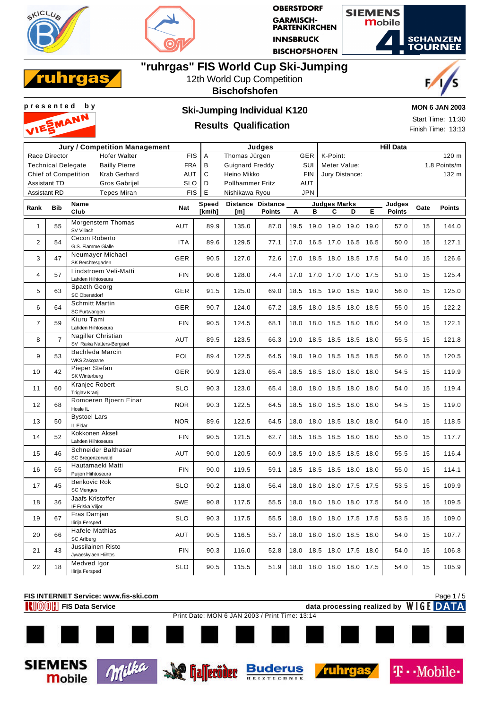





## **"ruhrgas" FIS World Cup Ski-Jumping**



### 12th World Cup Competition **Bischofshofen**



**Mobile** 

## **Results Qualification**

**MON 6 JAN 2003** Start Time: 11:30

Finish Time: 13:13

|                     |                           | Jury / Competition Management                      | Judges     |              |                         |                          | <b>Hill Data</b>         |                     |                              |    |               |      |               |  |  |  |
|---------------------|---------------------------|----------------------------------------------------|------------|--------------|-------------------------|--------------------------|--------------------------|---------------------|------------------------------|----|---------------|------|---------------|--|--|--|
|                     | Race Director             | <b>Hofer Walter</b>                                | <b>FIS</b> | A            | Thomas Jürgen           |                          | GER                      | 120 m<br>K-Point:   |                              |    |               |      |               |  |  |  |
|                     | <b>Technical Delegate</b> | <b>Bailly Pierre</b>                               | <b>FRA</b> | В            | <b>Guignard Freddy</b>  |                          | SUI                      |                     | 1.8 Points/m<br>Meter Value: |    |               |      |               |  |  |  |
|                     |                           | <b>Krab Gerhard</b><br><b>Chief of Competition</b> | AUT        | C            | Heino Mikko             |                          | <b>FIN</b>               | Jury Distance:      |                              |    |               |      | 132 m         |  |  |  |
|                     | <b>Assistant TD</b>       | <b>Gros Gabrijel</b>                               | <b>SLO</b> | D            | <b>Pollhammer Fritz</b> |                          | AUT                      |                     |                              |    |               |      |               |  |  |  |
| <b>Assistant RD</b> |                           | <b>Tepes Miran</b>                                 | <b>FIS</b> | E            | Nishikawa Ryou          |                          | <b>JPN</b>               |                     |                              |    |               |      |               |  |  |  |
|                     |                           | Name                                               |            | <b>Speed</b> |                         | <b>Distance Distance</b> |                          | <b>Judges Marks</b> |                              |    | Judges        |      |               |  |  |  |
| Rank                | <b>Bib</b>                | Club                                               | Nat        | [km/h]       | [m]                     | <b>Points</b>            | A<br>в                   | C                   | D                            | E. | <b>Points</b> | Gate | <b>Points</b> |  |  |  |
| $\mathbf{1}$        | 55                        | Morgenstern Thomas<br>SV Villach                   | AUT        | 89.9         | 135.0                   | 87.0                     | 19.5                     | 19.0 19.0 19.0 19.0 |                              |    | 57.0          | 15   | 144.0         |  |  |  |
| $\overline{2}$      | 54                        | Cecon Roberto<br>G.S. Fiamme Gialle                | <b>ITA</b> | 89.6         | 129.5                   | 77.1                     | 17.0                     | 16.5 17.0 16.5 16.5 |                              |    | 50.0          | 15   | 127.1         |  |  |  |
| 3                   | 47                        | Neumayer Michael<br>SK Berchtesgaden               | GER        | 90.5         | 127.0                   | 72.6                     | 17.0 18.5 18.0 18.5 17.5 |                     |                              |    | 54.0          | 15   | 126.6         |  |  |  |
| $\overline{4}$      | 57                        | Lindstroem Veli-Matti<br>Lahden Hiihtoseura        | <b>FIN</b> | 90.6         | 128.0                   | 74.4                     | 17.0                     | 17.0 17.0 17.0 17.5 |                              |    | 51.0          | 15   | 125.4         |  |  |  |
| 5                   | 63                        | Spaeth Georg<br>SC Oberstdorf                      | <b>GER</b> | 91.5         | 125.0                   | 69.0                     | 18.5                     | 18.5 19.0 18.5 19.0 |                              |    | 56.0          | 15   | 125.0         |  |  |  |
| 6                   | 64                        | <b>Schmitt Martin</b><br>SC Furtwangen             | <b>GER</b> | 90.7         | 124.0                   | 67.2                     | 18.5                     | 18.0 18.5 18.0 18.5 |                              |    | 55.0          | 15   | 122.2         |  |  |  |
| $\overline{7}$      | 59                        | Kiuru Tami<br>Lahden Hiihtoseura                   | <b>FIN</b> | 90.5         | 124.5                   | 68.1                     | 18.0 18.0 18.5 18.0 18.0 |                     |                              |    | 54.0          | 15   | 122.1         |  |  |  |
| 8                   | $\overline{7}$            | Nagiller Christian<br>SV Raika Natters-Bergisel    | AUT        | 89.5         | 123.5                   | 66.3                     | 19.0                     | 18.5 18.5 18.5 18.0 |                              |    | 55.5          | 15   | 121.8         |  |  |  |
| 9                   | 53                        | <b>Bachleda Marcin</b><br><b>WKS Zakopane</b>      | POL        | 89.4         | 122.5                   | 64.5                     | 19.0                     | 19.0 18.5 18.5 18.5 |                              |    | 56.0          | 15   | 120.5         |  |  |  |
| 10                  | 42                        | Pieper Stefan<br>SK Winterberg                     | GER        | 90.9         | 123.0                   | 65.4                     | 18.5                     | 18.5 18.0 18.0 18.0 |                              |    | 54.5          | 15   | 119.9         |  |  |  |
| 11                  | 60                        | Kranjec Robert<br>Triglav Kranj                    | <b>SLO</b> | 90.3         | 123.0                   | 65.4                     | 18.0                     | 18.0 18.5 18.0 18.0 |                              |    | 54.0          | 15   | 119.4         |  |  |  |
| 12                  | 68                        | Romoeren Bjoern Einar<br>Hosle IL                  | <b>NOR</b> | 90.3         | 122.5                   | 64.5                     | 18.5 18.0 18.5 18.0 18.0 |                     |                              |    | 54.5          | 15   | 119.0         |  |  |  |
| 13                  | 50                        | <b>Bystoel Lars</b><br>IL Eldar                    | <b>NOR</b> | 89.6         | 122.5                   | 64.5                     | 18.0                     | 18.0 18.5 18.0 18.0 |                              |    | 54.0          | 15   | 118.5         |  |  |  |
| 14                  | 52                        | Kokkonen Akseli<br>Lahden Hiihtoseura              | <b>FIN</b> | 90.5         | 121.5                   | 62.7                     | 18.5                     | 18.5 18.5 18.0 18.0 |                              |    | 55.0          | 15   | 117.7         |  |  |  |
| 15                  | 46                        | Schneider Balthasar<br>SC Bregenzerwald            | AUT        | 90.0         | 120.5                   | 60.9                     | 18.5                     | 19.0 18.5 18.5 18.0 |                              |    | 55.5          | 15   | 116.4         |  |  |  |
| 16                  | 65                        | Hautamaeki Matti<br>Puiion Hiihtoseura             | <b>FIN</b> | 90.0         | 119.5                   | 59.1                     | 18.5                     | 18.5 18.5 18.0 18.0 |                              |    | 55.0          | 15   | 114.1         |  |  |  |
| 17                  | 45                        | Benkovic Rok<br><b>SC Menges</b>                   | <b>SLO</b> | 90.2         | 118.0                   | 56.4                     | 18.0                     | 18.0 18.0 17.5 17.5 |                              |    | 53.5          | 15   | 109.9         |  |  |  |
| 18                  | 36                        | Jaafs Kristoffer<br>IF Friska Viljor               | <b>SWE</b> | 90.8         | 117.5                   | 55.5                     | 18.0 18.0 18.0 18.0 17.5 |                     |                              |    | 54.0          | 15   | 109.5         |  |  |  |
| 19                  | 67                        | Fras Damjan<br>Ilirija Fersped                     | <b>SLO</b> | 90.3         | 117.5                   | 55.5                     | 18.0                     | 18.0 18.0 17.5 17.5 |                              |    | 53.5          | 15   | 109.0         |  |  |  |
| 20                  | 66                        | Hafele Mathias<br><b>SC Arlberg</b>                | AUT        | 90.5         | 116.5                   | 53.7                     | 18.0                     | 18.0 18.0 18.5 18.0 |                              |    | 54.0          | 15   | 107.7         |  |  |  |
| 21                  | 43                        | Jussilainen Risto<br>Jyvaeskylaen Hiihtos.         | <b>FIN</b> | 90.3         | 116.0                   | 52.8                     | 18.0                     | 18.5 18.0 17.5 18.0 |                              |    | 54.0          | 15   | 106.8         |  |  |  |
| 22                  | 18                        | Medved Igor<br>Ilirija Fersped                     | <b>SLO</b> | 90.5         | 115.5                   | 51.9                     | 18.0 18.0 18.0 18.0 17.5 |                     |                              |    | 54.0          | 15   | 105.9         |  |  |  |



ruhrg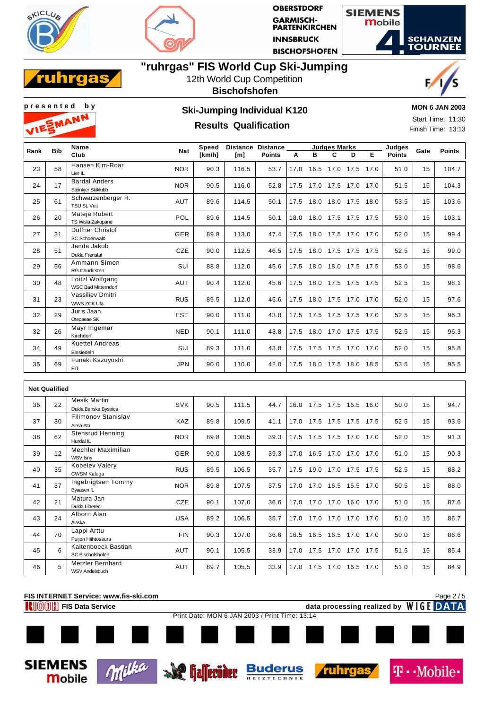





## **"ruhrgas" FIS World Cup Ski-Jumping**



### 12th World Cup Competition **Bischofshofen**





**Mobile** 

# **p r e s e n t e d b y Ski-Jumping Individual K120**

## **Results Qualification**

**MON 6 JAN 2003**

Start Time: 11:30 Finish Time: 13:13

| Rank | <b>Bib</b> | Name                                          | <b>Nat</b> | Speed  | Distance | <b>Distance</b> |      |                          | <b>Judges Marks</b> |                     |      | Judges        | Gate | <b>Points</b> |
|------|------------|-----------------------------------------------|------------|--------|----------|-----------------|------|--------------------------|---------------------|---------------------|------|---------------|------|---------------|
|      |            | Club                                          |            | [km/h] | [m]      | <b>Points</b>   | А    | в                        | C                   | D.                  | Е    | <b>Points</b> |      |               |
| 23   | 58         | Hansen Kim-Roar<br>Lier IL                    | <b>NOR</b> | 90.3   | 116.5    | 53.7            | 17.0 |                          |                     | 16.5 17.0 17.5      | 17.0 | 51.0          | 15   | 104.7         |
| 24   | 17         | <b>Bardal Anders</b><br>Steinkjer Skiklubb    | <b>NOR</b> | 90.5   | 116.0    | 52.8            |      | 17.5 17.0 17.5 17.0 17.0 |                     |                     |      | 51.5          | 15   | 104.3         |
| 25   | 61         | Schwarzenberger R.<br>TSU St. Veit            | AUT        | 89.6   | 114.5    | 50.1            | 17.5 |                          |                     | 18.0 18.0 17.5      | 18.0 | 53.5          | 15   | 103.6         |
| 26   | 20         | Mateja Robert<br>TS Wisla Zakopane            | POL        | 89.6   | 114.5    | 50.1            | 18.0 |                          |                     | 18.0 17.5 17.5 17.5 |      | 53.0          | 15   | 103.1         |
| 27   | 31         | <b>Duffner Christof</b><br>SC Schoenwald      | <b>GER</b> | 89.8   | 113.0    | 47.4            | 17.5 |                          |                     | 18.0 17.5 17.0      | 17.0 | 52.0          | 15   | 99.4          |
| 28   | 51         | Janda Jakub<br>Dukla Frenstat                 | CZE        | 90.0   | 112.5    | 46.5            | 17.5 |                          |                     | 18.0 17.5 17.5      | 17.5 | 52.5          | 15   | 99.0          |
| 29   | 56         | Ammann Simon<br><b>RG Churfirsten</b>         | SUI        | 88.8   | 112.0    | 45.6            | 17.5 |                          |                     | 18.0 18.0 17.5 17.5 |      | 53.0          | 15   | 98.6          |
| 30   | 48         | Loitzl Wolfgang<br><b>WSC Bad Mitterndorf</b> | AUT        | 90.4   | 112.0    | 45.6            | 17.5 |                          |                     | 18.0 17.5 17.5 17.5 |      | 52.5          | 15   | 98.1          |
| 31   | 23         | Vassiliev Dmitri<br>WWS ZCK Ufa               | <b>RUS</b> | 89.5   | 112.0    | 45.6            | 17.5 |                          |                     | 18.0 17.5 17.0 17.0 |      | 52.0          | 15   | 97.6          |
| 32   | 29         | Juris Jaan<br>Otepaeae SK                     | <b>EST</b> | 90.0   | 111.0    | 43.8            |      | 17.5 17.5 17.5 17.5 17.0 |                     |                     |      | 52.5          | 15   | 96.3          |
| 32   | 26         | Mayr Ingemar<br>Kirchdorf                     | <b>NED</b> | 90.1   | 111.0    | 43.8            | 17.5 |                          |                     | 18.0 17.0 17.5      | 17.5 | 52.5          | 15   | 96.3          |
| 34   | 49         | <b>Kuettel Andreas</b><br>Einsiedeln          | SUI        | 89.3   | 111.0    | 43.8            | 17.5 |                          |                     | 17.5 17.5 17.0      | 17.0 | 52.0          | 15   | 95.8          |
| 35   | 69         | Funaki Kazuyoshi<br><b>FIT</b>                | <b>JPN</b> | 90.0   | 110.0    | 42.0            | 17.5 |                          |                     | 18.0 17.5 18.0 18.5 |      | 53.5          | 15   | 95.5          |

|    | <b>Not Qualified</b> |                                              |            |      |       |      |              |                     |                |      |      |    |      |
|----|----------------------|----------------------------------------------|------------|------|-------|------|--------------|---------------------|----------------|------|------|----|------|
| 36 | 22                   | <b>Mesik Martin</b><br>Dukla Banska Bystrica | <b>SVK</b> | 90.5 | 111.5 | 44.7 | 17.5<br>16.0 | 17.5                | 16.5           | 16.0 | 50.0 | 15 | 94.7 |
| 37 | 30                   | <b>Filimonov Stanislav</b><br>Alma Ata       | KAZ        | 89.8 | 109.5 | 41.1 | 17.5<br>17.0 | 17.5 17.5           |                | 17.5 | 52.5 | 15 | 93.6 |
| 38 | 62                   | <b>Stensrud Henning</b><br>Hurdal IL         | <b>NOR</b> | 89.8 | 108.5 | 39.3 | 17.5<br>17.5 | 17.5                | 17.0           | 17.0 | 52.0 | 15 | 91.3 |
| 39 | 12                   | Mechler Maximilian<br>WSV Isny               | GER        | 90.0 | 108.5 | 39.3 | 16.5<br>17.0 | 17.0                | 17.0           | 17.0 | 51.0 | 15 | 90.3 |
| 40 | 35                   | Kobelev Valery<br><b>CWSM Kaluga</b>         | <b>RUS</b> | 89.5 | 106.5 | 35.7 | 17.5         | 19.0 17.0 17.5 17.5 |                |      | 52.5 | 15 | 88.2 |
| 41 | 37                   | Ingebrigtsen Tommy<br>Byaasen IL             | <b>NOR</b> | 89.8 | 107.5 | 37.5 | 17.0         | 17.0 16.5 15.5      |                | 17.0 | 50.5 | 15 | 88.0 |
| 42 | 21                   | Matura Jan<br>Dukla Liberec                  | <b>CZE</b> | 90.1 | 107.0 | 36.6 | 17.0<br>17.0 | 17.0                | 16.0           | 17.0 | 51.0 | 15 | 87.6 |
| 43 | 24                   | Alborn Alan<br>Alaska                        | <b>USA</b> | 89.2 | 106.5 | 35.7 | 17.0<br>17.0 | 17.0                | 17.0           | 17.0 | 51.0 | 15 | 86.7 |
| 44 | 70                   | Lappi Arttu<br>Puijon Hiihtoseura            | <b>FIN</b> | 90.3 | 107.0 | 36.6 | 16.5<br>16.5 |                     | 16.5 17.0 17.0 |      | 50.0 | 15 | 86.6 |
| 45 | 6                    | Kaltenboeck Bastian<br>SC Bischofshofen      | <b>AUT</b> | 90.1 | 105.5 | 33.9 | 17.5<br>17.0 | 17.0                | 17.0 17.5      |      | 51.5 | 15 | 85.4 |
| 46 | 5                    | Metzler Bernhard<br><b>WSV Andelsbuch</b>    | AUT        | 89.7 | 105.5 | 33.9 | 17.5<br>17.0 | 17.0                | 16.5           | 17.0 | 51.0 | 15 | 84.9 |

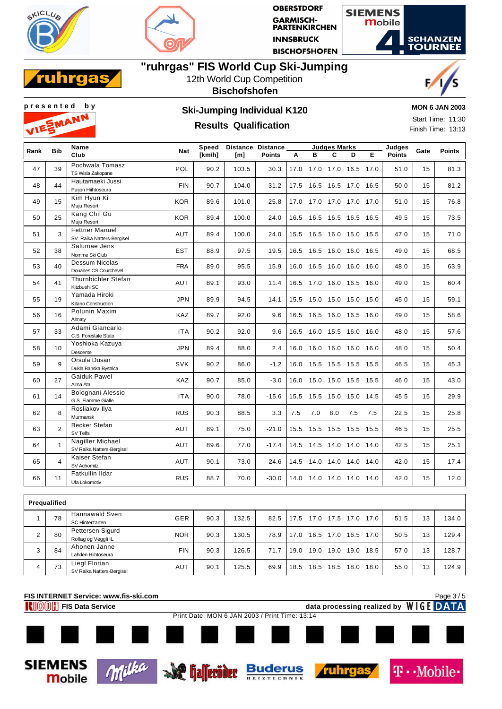





## **"ruhrgas" FIS World Cup Ski-Jumping**



### 12th World Cup Competition **Bischofshofen**





## **Results Qualification**

**MON 6 JAN 2003**

Start Time: 11:30 Finish Time: 13:13

**T** · Mobile

| Rank         | <b>Bib</b>     | Name                                               | <b>Nat</b> | Speed  |       | Distance Distance |      |                          | <b>Judges Marks</b> |                     |     | Judges        | Gate | <b>Points</b> |
|--------------|----------------|----------------------------------------------------|------------|--------|-------|-------------------|------|--------------------------|---------------------|---------------------|-----|---------------|------|---------------|
|              |                | Club                                               |            | [km/h] | [m]   | <b>Points</b>     | A    | в                        | C                   | D                   | Е   | <b>Points</b> |      |               |
| 47           | 39             | Pochwala Tomasz<br>TS Wisla Zakopane               | POL        | 90.2   | 103.5 | 30.3              | 17.0 |                          |                     | 17.0 17.0 16.5 17.0 |     | 51.0          | 15   | 81.3          |
| 48           | 44             | Hautamaeki Jussi<br>Puiion Hiihtoseura             | <b>FIN</b> | 90.7   | 104.0 | 31.2              |      | 17.5 16.5 16.5 17.0 16.5 |                     |                     |     | 50.0          | 15   | 81.2          |
| 49           | 15             | Kim Hyun Ki<br>Muju Resort                         | <b>KOR</b> | 89.6   | 101.0 | 25.8              |      | 17.0 17.0 17.0 17.0 17.0 |                     |                     |     | 51.0          | 15   | 76.8          |
| 50           | 25             | Kang Chil Gu<br>Muju Resort                        | <b>KOR</b> | 89.4   | 100.0 | 24.0              |      | 16.5 16.5 16.5 16.5 16.5 |                     |                     |     | 49.5          | 15   | 73.5          |
| 51           | 3              | <b>Fettner Manuel</b><br>SV Raika Natters-Bergisel | AUT        | 89.4   | 100.0 | 24.0              |      | 15.5 16.5 16.0 15.0 15.5 |                     |                     |     | 47.0          | 15   | 71.0          |
| 52           | 38             | Salumae Jens<br>Nomme Ski Club                     | <b>EST</b> | 88.9   | 97.5  | 19.5              | 16.5 | 16.5 16.0 16.0 16.5      |                     |                     |     | 49.0          | 15   | 68.5          |
| 53           | 40             | Dessum Nicolas<br>Douanes CS Courchevel            | <b>FRA</b> | 89.0   | 95.5  | 15.9              | 16.0 | 16.5 16.0 16.0 16.0      |                     |                     |     | 48.0          | 15   | 63.9          |
| 54           | 41             | Thurnbichler Stefan<br>Kitzbuehl SC                | <b>AUT</b> | 89.1   | 93.0  | 11.4              |      | 16.5 17.0 16.0 16.5 16.0 |                     |                     |     | 49.0          | 15   | 60.4          |
| 55           | 19             | Yamada Hiroki<br>Kitano Construction               | <b>JPN</b> | 89.9   | 94.5  | 14.1              |      | 15.5 15.0 15.0 15.0 15.0 |                     |                     |     | 45.0          | 15   | 59.1          |
| 56           | 16             | Polunin Maxim<br>Almaty                            | <b>KAZ</b> | 89.7   | 92.0  | 9.6               | 16.5 | 16.5 16.0 16.5 16.0      |                     |                     |     | 49.0          | 15   | 58.6          |
| 57           | 33             | Adami Giancarlo<br>C.S. Forestale Stato            | <b>ITA</b> | 90.2   | 92.0  | 9.6               | 16.5 |                          |                     | 16.0 15.5 16.0 16.0 |     | 48.0          | 15   | 57.6          |
| 58           | 10             | Yoshioka Kazuya<br>Descente                        | <b>JPN</b> | 89.4   | 88.0  | 2.4               | 16.0 | 16.0 16.0 16.0 16.0      |                     |                     |     | 48.0          | 15   | 50.4          |
| 59           | 9              | Orsula Dusan<br>Dukla Banska Bystrica              | <b>SVK</b> | 90.2   | 86.0  | $-1.2$            | 16.0 | 15.5 15.5 15.5 15.5      |                     |                     |     | 46.5          | 15   | 45.3          |
| 60           | 27             | <b>Gaiduk Pawel</b><br>Alma Ata                    | <b>KAZ</b> | 90.7   | 85.0  | $-3.0$            | 16.0 |                          |                     | 15.0 15.0 15.5 15.5 |     | 46.0          | 15   | 43.0          |
| 61           | 14             | Bolognani Alessio<br>G.S. Fiamme Gialle            | <b>ITA</b> | 90.0   | 78.0  | $-15.6$           | 15.5 |                          |                     | 15.5 15.0 15.0 14.5 |     | 45.5          | 15   | 29.9          |
| 62           | 8              | Rosliakov Ilya<br>Murmansk                         | <b>RUS</b> | 90.3   | 88.5  | 3.3               | 7.5  | 7.0                      | 8.0                 | 7.5                 | 7.5 | 22.5          | 15   | 25.8          |
| 63           | $\overline{2}$ | Becker Stefan<br>SV Telfs                          | AUT        | 89.1   | 75.0  | $-21.0$           | 15.5 |                          |                     | 15.5 15.5 15.5 15.5 |     | 46.5          | 15   | 25.5          |
| 64           | $\mathbf{1}$   | Nagiller Michael<br>SV Raika Natters-Bergisel      | AUT        | 89.6   | 77.0  | $-17.4$           |      | 14.5 14.5 14.0 14.0 14.0 |                     |                     |     | 42.5          | 15   | 25.1          |
| 65           | $\overline{4}$ | Kaiser Stefan<br>SV Achomitz                       | AUT        | 90.1   | 73.0  | $-24.6$           |      | 14.5 14.0 14.0 14.0 14.0 |                     |                     |     | 42.0          | 15   | 17.4          |
| 66           | 11             | Fatkullin Ildar<br>Ufa Lokomotiv                   | <b>RUS</b> | 88.7   | 70.0  | $-30.0$           |      | 14.0 14.0 14.0 14.0 14.0 |                     |                     |     | 42.0          | 15   | 12.0          |
|              |                |                                                    |            |        |       |                   |      |                          |                     |                     |     |               |      |               |
|              | Prequalified   |                                                    |            |        |       |                   |      |                          |                     |                     |     |               |      |               |
| $\mathbf{1}$ | 78             | <b>Hannawald Sven</b><br><b>SC Hinterzarten</b>    | <b>GER</b> | 90.3   | 132.5 | 82.5              |      | 17.5 17.0 17.5 17.0 17.0 |                     |                     |     | 51.5          | 13   | 134.0         |

|   | 70 | <b>SC Hinterzarten</b>    | UER        | ອບ.ວ | 5.∠د ا | 02.J | $\mathsf{L}$ | 11.0 | . G. II   | 17.U | 11.0 | <b>DI.D</b> | د ا | 134.U |
|---|----|---------------------------|------------|------|--------|------|--------------|------|-----------|------|------|-------------|-----|-------|
|   | 80 | Pettersen Sigurd          | <b>NOR</b> | 90.3 | 130.5  | 78.9 | 17.0         |      | 16.5 17.0 | 16.5 | 17.0 | 50.5        | 13  | 129.4 |
| ے |    | Rollag og Veggli IL       |            |      |        |      |              |      |           |      |      |             |     |       |
|   | 84 | Ahonen Janne              | <b>FIN</b> | 90.3 | 126.5  | 71.7 | 19.0         | 19.0 | 19.0      | 19.0 | 18.5 | 57.0        | 13  | 128.7 |
|   |    | Lahden Hiihtoseura        |            |      |        |      |              |      |           |      |      |             |     |       |
| 4 | 73 | Liegl Florian             | <b>AUT</b> | 90.1 | 125.5  | 69.9 | 18.5         | 18.5 | 18.5      | 18.0 | 18.0 | 55.0        | 13  | 124.9 |
|   |    | SV Raika Natters-Bergisel |            |      |        |      |              |      |           |      |      |             |     |       |
|   |    |                           |            |      |        |      |              |      |           |      |      |             |     |       |



**Allender** 

**Buderus** 

ruhra

Milka

**SIEMENS** 

**Mobile**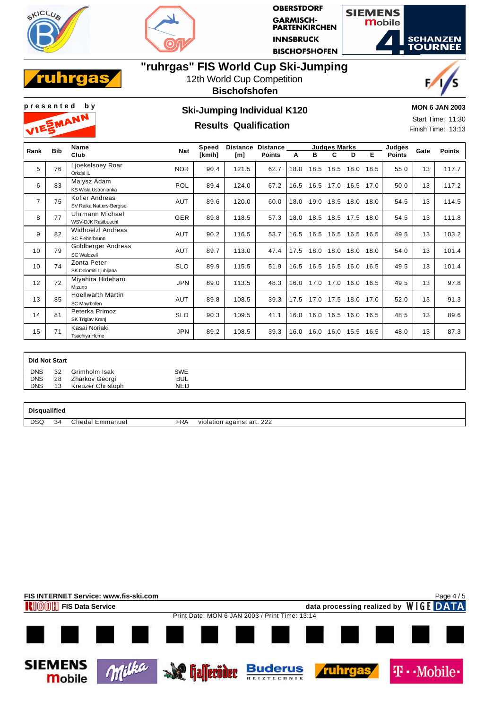





## **"ruhrgas" FIS World Cup Ski-Jumping**



### 12th World Cup Competition **Bischofshofen**





## **Results Qualification**

**MON 6 JAN 2003**

Start Time: 11:30 Finish Time: 13:13

| Rank           | <b>Bib</b> | <b>Name</b>                                 | <b>Nat</b> | Speed  | <b>Distance</b> | <b>Distance</b> |      |      |                     | <b>Judges Marks</b> | Judges | Gate          | <b>Points</b> |       |
|----------------|------------|---------------------------------------------|------------|--------|-----------------|-----------------|------|------|---------------------|---------------------|--------|---------------|---------------|-------|
|                |            | Club                                        |            | [km/h] | [m]             | <b>Points</b>   | А    | в    | C                   | D                   | Е      | <b>Points</b> |               |       |
| 5              | 76         | Ljoekelsoey Roar<br>Orkdal IL               | <b>NOR</b> | 90.4   | 121.5           | 62.7            | 18.0 | 18.5 | 18.5                | 18.0                | 18.5   | 55.0          | 13            | 117.7 |
| 6              | 83         | Malysz Adam<br>KS Wisla Ustronianka         | POL        | 89.4   | 124.0           | 67.2            | 16.5 |      | 16.5 17.0 16.5 17.0 |                     |        | 50.0          | 13            | 117.2 |
| $\overline{7}$ | 75         | Kofler Andreas<br>SV Raika Natters-Bergisel | <b>AUT</b> | 89.6   | 120.0           | 60.0            | 18.0 |      | 19.0 18.5 18.0 18.0 |                     |        | 54.5          | 13            | 114.5 |
| 8              | 77         | Uhrmann Michael<br>WSV-DJK Rastbuechl       | <b>GER</b> | 89.8   | 118.5           | 57.3            | 18.0 |      | 18.5 18.5 17.5      |                     | 18.0   | 54.5          | 13            | 111.8 |
| 9              | 82         | Widhoelzl Andreas<br>SC Fieberbrunn         | AUT        | 90.2   | 116.5           | 53.7            | 16.5 |      | 16.5 16.5 16.5      |                     | 16.5   | 49.5          | 13            | 103.2 |
| 10             | 79         | Goldberger Andreas<br><b>SC Waldzell</b>    | <b>AUT</b> | 89.7   | 113.0           | 47.4            | 17.5 | 18.0 | 18.0                | 18.0                | 18.0   | 54.0          | 13            | 101.4 |
| 10             | 74         | Zonta Peter<br>SK Dolomiti Ljubljana        | <b>SLO</b> | 89.9   | 115.5           | 51.9            | 16.5 |      | 16.5 16.5           | 16.0                | 16.5   | 49.5          | 13            | 101.4 |
| 12             | 72         | Miyahira Hideharu<br>Mizuno                 | <b>JPN</b> | 89.0   | 113.5           | 48.3            | 16.0 |      | 17.0 17.0           | 16.0                | 16.5   | 49.5          | 13            | 97.8  |
| 13             | 85         | <b>Hoellwarth Martin</b><br>SC Mavrhofen    | <b>AUT</b> | 89.8   | 108.5           | 39.3            | 17.5 |      | 17.0 17.5           | 18.0                | 17.0   | 52.0          | 13            | 91.3  |
| 14             | 81         | Peterka Primoz<br>SK Triglav Kranj          | <b>SLO</b> | 90.3   | 109.5           | 41.1            | 16.0 |      | 16.0 16.5           | 16.0                | 16.5   | 48.5          | 13            | 89.6  |
| 15             | 71         | Kasai Noriaki<br>Tsuchiya Home              | <b>JPN</b> | 89.2   | 108.5           | 39.3            | 16.0 | 16.0 | 16.0                | 15.5                | 16.5   | 48.0          | 13            | 87.3  |

| Did Not Start |    |                   |            |  |
|---------------|----|-------------------|------------|--|
| <b>DNS</b>    | 32 | Grimholm Isak     | <b>SWE</b> |  |
| <b>DNS</b>    | 28 | Zharkov Georgi    | <b>BUL</b> |  |
| <b>DNS</b>    | 13 | Kreuzer Christoph | NED        |  |
|               |    |                   |            |  |

**Disqualified**

DSQ 34 Chedal Emmanuel FRA violation against art. 222

**FIS INTERNET Service: www.fis-ski.com** Page 4 / 5**FIGOM** FIS Data Service **data processing realized by** WIGE DATA Print Date: MON 6 JAN 2003 / Print Time: 13:14 **SIEMENS** Milka **Buderus Allecider T** · · Mobile · ruhrg **Mobile**